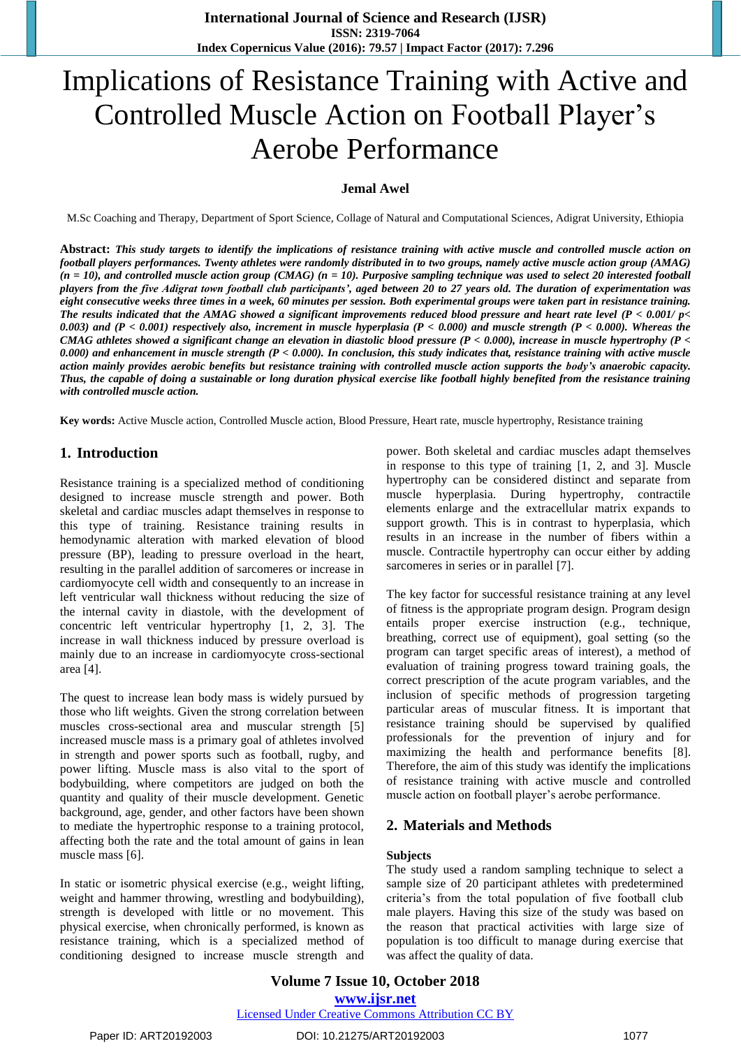# Implications of Resistance Training with Active and Controlled Muscle Action on Football Player's Aerobe Performance

#### **Jemal Awel**

M.Sc Coaching and Therapy, Department of Sport Science, Collage of Natural and Computational Sciences, Adigrat University, Ethiopia

**Abstract:** *This study targets to identify the implications of resistance training with active muscle and controlled muscle action on football players performances. Twenty athletes were randomly distributed in to two groups, namely active muscle action group (AMAG) (n = 10), and controlled muscle action group (CMAG) (n = 10). Purposive sampling technique was used to select 20 interested football players from the five Adigrat town football club participants', aged between 20 to 27 years old. The duration of experimentation was eight consecutive weeks three times in a week, 60 minutes per session. Both experimental groups were taken part in resistance training. The results indicated that the AMAG showed a significant improvements reduced blood pressure and heart rate level (P < 0.001/ p< 0.003) and (P < 0.001) respectively also, increment in muscle hyperplasia (P < 0.000) and muscle strength (P < 0.000). Whereas the CMAG athletes showed a significant change an elevation in diastolic blood pressure (P < 0.000), increase in muscle hypertrophy (P < 0.000) and enhancement in muscle strength (P < 0.000). In conclusion, this study indicates that, resistance training with active muscle action mainly provides aerobic benefits but resistance training with controlled muscle action supports the body's anaerobic capacity. Thus, the capable of doing a sustainable or long duration physical exercise like football highly benefited from the resistance training with controlled muscle action.*

**Key words:** Active Muscle action, Controlled Muscle action, Blood Pressure, Heart rate, muscle hypertrophy, Resistance training

#### **1. Introduction**

Resistance training is a specialized method of conditioning designed to increase muscle strength and power. Both skeletal and cardiac muscles adapt themselves in response to this type of training. Resistance training results in hemodynamic alteration with marked elevation of blood pressure (BP), leading to pressure overload in the heart, resulting in the parallel addition of sarcomeres or increase in cardiomyocyte cell width and consequently to an increase in left ventricular wall thickness without reducing the size of the internal cavity in diastole, with the development of concentric left ventricular hypertrophy [1, 2, 3]. The increase in wall thickness induced by pressure overload is mainly due to an increase in cardiomyocyte cross-sectional area [4].

The quest to increase lean body mass is widely pursued by those who lift weights. Given the strong correlation between muscles cross-sectional area and muscular strength [5] increased muscle mass is a primary goal of athletes involved in strength and power sports such as football, rugby, and power lifting. Muscle mass is also vital to the sport of bodybuilding, where competitors are judged on both the quantity and quality of their muscle development. Genetic background, age, gender, and other factors have been shown to mediate the hypertrophic response to a training protocol, affecting both the rate and the total amount of gains in lean muscle mass [6].

In static or isometric physical exercise (e.g., weight lifting, weight and hammer throwing, wrestling and bodybuilding), strength is developed with little or no movement. This physical exercise, when chronically performed, is known as resistance training, which is a specialized method of conditioning designed to increase muscle strength and power. Both skeletal and cardiac muscles adapt themselves in response to this type of training [1, 2, and 3]. Muscle hypertrophy can be considered distinct and separate from muscle hyperplasia. During hypertrophy, contractile elements enlarge and the extracellular matrix expands to support growth. This is in contrast to hyperplasia, which results in an increase in the number of fibers within a muscle. Contractile hypertrophy can occur either by adding sarcomeres in series or in parallel [7].

The key factor for successful resistance training at any level of fitness is the appropriate program design. Program design entails proper exercise instruction (e.g., technique, breathing, correct use of equipment), goal setting (so the program can target specific areas of interest), a method of evaluation of training progress toward training goals, the correct prescription of the acute program variables, and the inclusion of specific methods of progression targeting particular areas of muscular fitness. It is important that resistance training should be supervised by qualified professionals for the prevention of injury and for maximizing the health and performance benefits [8]. Therefore, the aim of this study was identify the implications of resistance training with active muscle and controlled muscle action on football player's aerobe performance.

#### **2. Materials and Methods**

#### **Subjects**

The study used a random sampling technique to select a sample size of 20 participant athletes with predetermined criteria's from the total population of five football club male players. Having this size of the study was based on the reason that practical activities with large size of population is too difficult to manage during exercise that was affect the quality of data.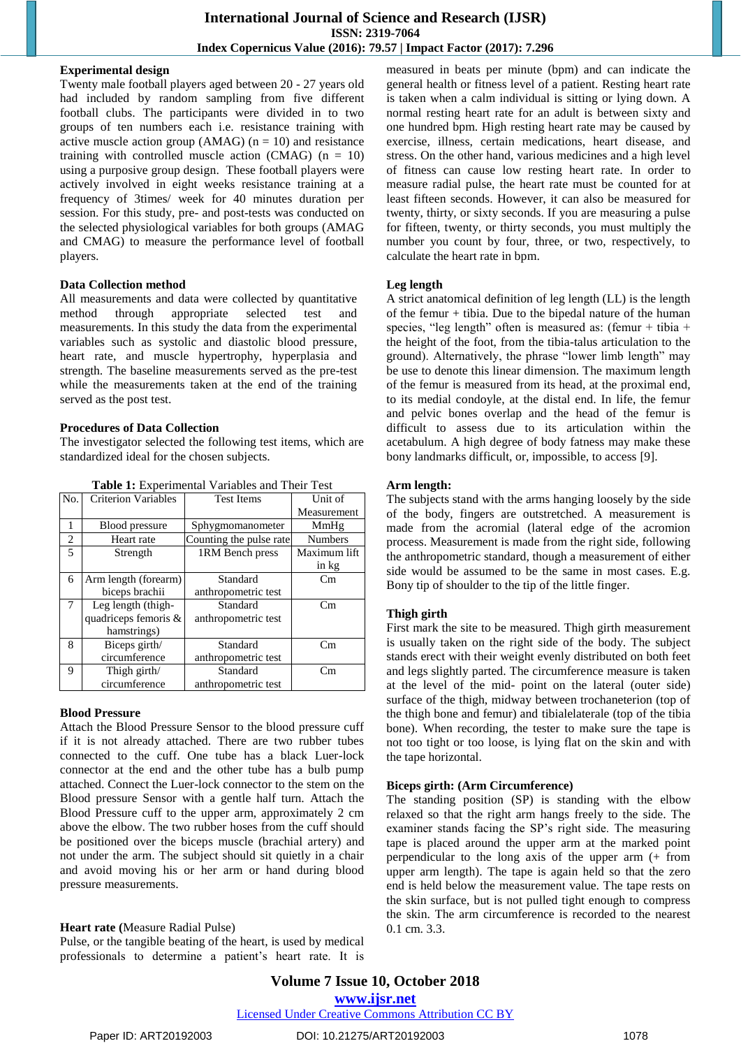#### **Experimental design**

Twenty male football players aged between 20 - 27 years old had included by random sampling from five different football clubs. The participants were divided in to two groups of ten numbers each i.e. resistance training with active muscle action group ( $AMAG$ ) ( $n = 10$ ) and resistance training with controlled muscle action (CMAG)  $(n = 10)$ using a purposive group design. These football players were actively involved in eight weeks resistance training at a frequency of 3times/ week for 40 minutes duration per session. For this study, pre- and post-tests was conducted on the selected physiological variables for both groups (AMAG and CMAG) to measure the performance level of football players.

#### **Data Collection method**

All measurements and data were collected by quantitative method through appropriate selected test and measurements. In this study the data from the experimental variables such as systolic and diastolic blood pressure, heart rate, and muscle hypertrophy, hyperplasia and strength. The baseline measurements served as the pre-test while the measurements taken at the end of the training served as the post test.

## **Procedures of Data Collection**

The investigator selected the following test items, which are standardized ideal for the chosen subjects.

**Table 1:** Experimental Variables and Their Test

| No.            | Criterion Variables  | <b>Test Items</b>       | Unit of        |
|----------------|----------------------|-------------------------|----------------|
|                |                      |                         | Measurement    |
| 1              | Blood pressure       | Sphygmomanometer        | MmHg           |
| $\overline{c}$ | Heart rate           | Counting the pulse rate | <b>Numbers</b> |
| 5              | Strength             | 1RM Bench press         | Maximum lift   |
|                |                      |                         | in kg          |
| 6              | Arm length (forearm) | Standard                | Cm             |
|                | biceps brachii       | anthropometric test     |                |
| $\tau$         | Leg length (thigh-   | Standard                | Cm             |
|                | quadriceps femoris & | anthropometric test     |                |
|                | hamstrings)          |                         |                |
| 8              | Biceps girth/        | Standard                | Cm             |
|                | circumference        | anthropometric test     |                |
| 9              | Thigh girth/         | Standard                | Cm             |
|                | circumference        | anthropometric test     |                |

#### **Blood Pressure**

Attach the Blood Pressure Sensor to the blood pressure cuff if it is not already attached. There are two rubber tubes connected to the cuff. One tube has a black Luer-lock connector at the end and the other tube has a bulb pump attached. Connect the Luer-lock connector to the stem on the Blood pressure Sensor with a gentle half turn. Attach the Blood Pressure cuff to the upper arm, approximately 2 cm above the elbow. The two rubber hoses from the cuff should be positioned over the biceps muscle (brachial artery) and not under the arm. The subject should sit quietly in a chair and avoid moving his or her arm or hand during blood pressure measurements.

## **Heart rate (**Measure Radial Pulse)

Pulse, or the tangible beating of the heart, is used by medical professionals to determine a patient's heart rate. It is measured in beats per minute (bpm) and can indicate the general health or fitness level of a patient. Resting heart rate is taken when a calm individual is sitting or lying down. A normal resting heart rate for an adult is between sixty and one hundred bpm. High resting heart rate may be caused by exercise, illness, certain medications, heart disease, and stress. On the other hand, various medicines and a high level of fitness can cause low resting heart rate. In order to measure radial pulse, the heart rate must be counted for at least fifteen seconds. However, it can also be measured for twenty, thirty, or sixty seconds. If you are measuring a pulse for fifteen, twenty, or thirty seconds, you must multiply the number you count by four, three, or two, respectively, to calculate the heart rate in bpm.

# **Leg length**

A strict anatomical definition of leg length (LL) is the length of the femur + tibia. Due to the bipedal nature of the human species, "leg length" often is measured as: (femur + tibia + the height of the foot, from the tibia-talus articulation to the ground). Alternatively, the phrase "lower limb length" may be use to denote this linear dimension. The maximum length of the femur is measured from its head, at the proximal end, to its medial condoyle, at the distal end. In life, the femur and pelvic bones overlap and the head of the femur is difficult to assess due to its articulation within the acetabulum. A high degree of body fatness may make these bony landmarks difficult, or, impossible, to access [9].

## **Arm length:**

The subjects stand with the arms hanging loosely by the side of the body, fingers are outstretched. A measurement is made from the acromial (lateral edge of the acromion process. Measurement is made from the right side, following the anthropometric standard, though a measurement of either side would be assumed to be the same in most cases. E.g. Bony tip of shoulder to the tip of the little finger.

## **Thigh girth**

First mark the site to be measured. Thigh girth measurement is usually taken on the right side of the body. The subject stands erect with their weight evenly distributed on both feet and legs slightly parted. The circumference measure is taken at the level of the mid- point on the lateral (outer side) surface of the thigh, midway between trochaneterion (top of the thigh bone and femur) and tibialelaterale (top of the tibia bone). When recording, the tester to make sure the tape is not too tight or too loose, is lying flat on the skin and with the tape horizontal.

## **Biceps girth: (Arm Circumference)**

The standing position (SP) is standing with the elbow relaxed so that the right arm hangs freely to the side. The examiner stands facing the SP's right side. The measuring tape is placed around the upper arm at the marked point perpendicular to the long axis of the upper arm (+ from upper arm length). The tape is again held so that the zero end is held below the measurement value. The tape rests on the skin surface, but is not pulled tight enough to compress the skin. The arm circumference is recorded to the nearest 0.1 cm. 3.3.

## [Licensed Under Creative Commons Attribution CC BY](http://creativecommons.org/licenses/by/4.0/)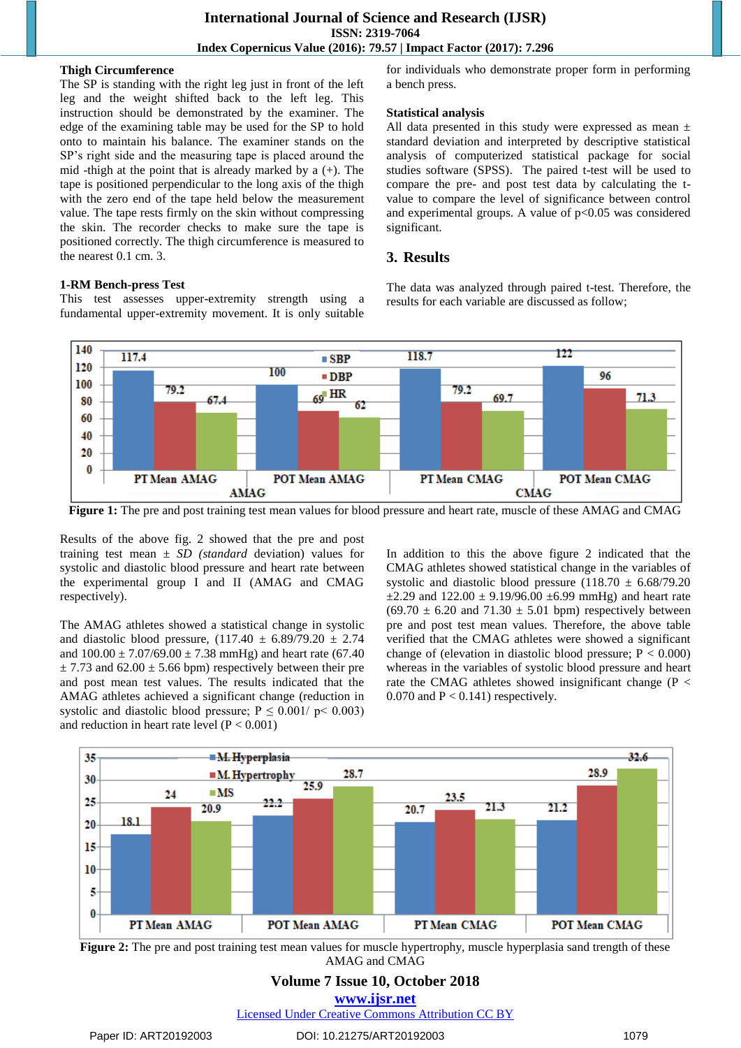#### **Thigh Circumference**

The SP is standing with the right leg just in front of the left leg and the weight shifted back to the left leg. This instruction should be demonstrated by the examiner. The edge of the examining table may be used for the SP to hold onto to maintain his balance. The examiner stands on the SP's right side and the measuring tape is placed around the mid -thigh at the point that is already marked by a (+). The tape is positioned perpendicular to the long axis of the thigh with the zero end of the tape held below the measurement value. The tape rests firmly on the skin without compressing the skin. The recorder checks to make sure the tape is positioned correctly. The thigh circumference is measured to the nearest 0.1 cm. 3.

#### **1-RM Bench-press Test**

This test assesses upper-extremity strength using a fundamental upper-extremity movement. It is only suitable

for individuals who demonstrate proper form in performing a bench press.

#### **Statistical analysis**

All data presented in this study were expressed as mean  $\pm$ standard deviation and interpreted by descriptive statistical analysis of computerized statistical package for social studies software (SPSS). The paired t-test will be used to compare the pre- and post test data by calculating the tvalue to compare the level of significance between control and experimental groups. A value of  $p<0.05$  was considered significant.

#### **3. Results**

The data was analyzed through paired t-test. Therefore, the results for each variable are discussed as follow;



**Figure 1:** The pre and post training test mean values for blood pressure and heart rate, muscle of these AMAG and CMAG

Results of the above fig. 2 showed that the pre and post training test mean *± SD (standard* deviation) values for systolic and diastolic blood pressure and heart rate between the experimental group I and II (AMAG and CMAG respectively).

The AMAG athletes showed a statistical change in systolic and diastolic blood pressure,  $(117.40 \pm 6.89/79.20 \pm 2.74)$ and  $100.00 \pm 7.07/69.00 \pm 7.38$  mmHg) and heart rate (67.40  $\pm$  7.73 and 62.00  $\pm$  5.66 bpm) respectively between their pre and post mean test values. The results indicated that the AMAG athletes achieved a significant change (reduction in systolic and diastolic blood pressure;  $P \le 0.001/p < 0.003$ ) and reduction in heart rate level  $(P < 0.001)$ 

In addition to this the above figure 2 indicated that the CMAG athletes showed statistical change in the variables of systolic and diastolic blood pressure  $(118.70 \pm 6.68/79.20$  $\pm 2.29$  and  $122.00 \pm 9.19/96.00 \pm 6.99$  mmHg) and heart rate  $(69.70 \pm 6.20$  and  $71.30 \pm 5.01$  bpm) respectively between pre and post test mean values. Therefore, the above table verified that the CMAG athletes were showed a significant change of (elevation in diastolic blood pressure;  $P < 0.000$ ) whereas in the variables of systolic blood pressure and heart rate the CMAG athletes showed insignificant change (P < 0.070 and  $P < 0.141$ ) respectively.





## **Volume 7 Issue 10, October 2018 <www.ijsr.net>**

[Licensed Under Creative Commons Attribution CC BY](http://creativecommons.org/licenses/by/4.0/)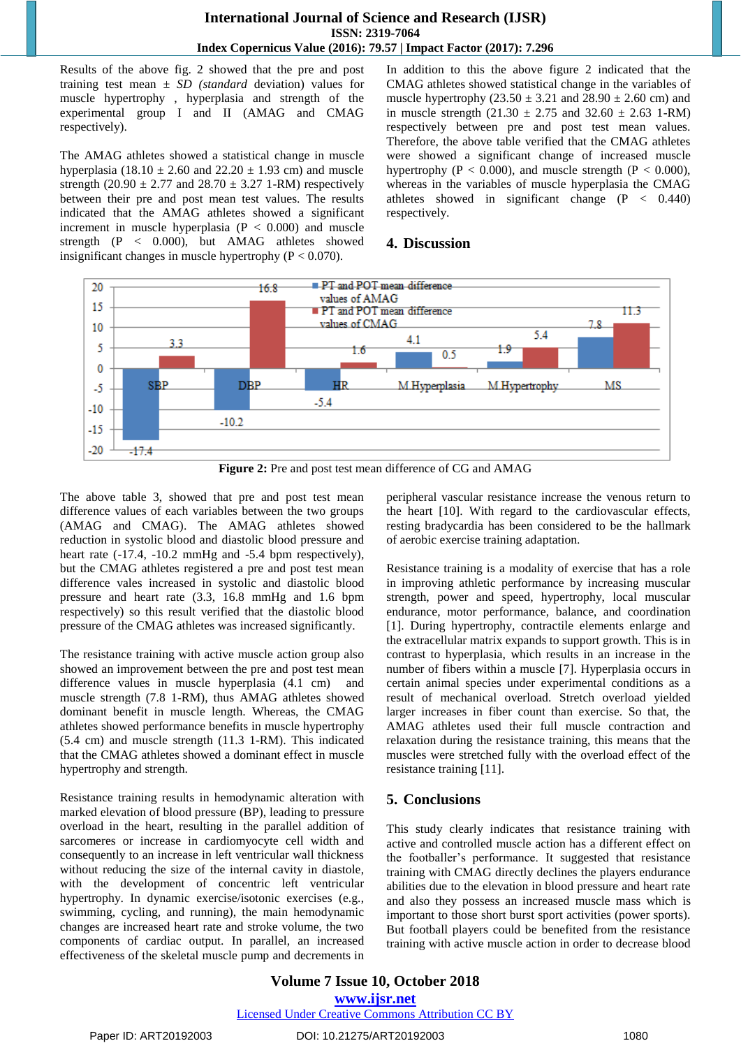## **International Journal of Science and Research (IJSR) ISSN: 2319-7064 Index Copernicus Value (2016): 79.57 | Impact Factor (2017): 7.296**

Results of the above fig. 2 showed that the pre and post training test mean *± SD (standard* deviation) values for muscle hypertrophy , hyperplasia and strength of the experimental group I and II (AMAG and CMAG respectively).

The AMAG athletes showed a statistical change in muscle hyperplasia (18.10  $\pm$  2.60 and 22.20  $\pm$  1.93 cm) and muscle strength (20.90  $\pm$  2.77 and 28.70  $\pm$  3.27 1-RM) respectively between their pre and post mean test values. The results indicated that the AMAG athletes showed a significant increment in muscle hyperplasia  $(P < 0.000)$  and muscle strength (P < 0.000), but AMAG athletes showed insignificant changes in muscle hypertrophy ( $P < 0.070$ ).

In addition to this the above figure 2 indicated that the CMAG athletes showed statistical change in the variables of muscle hypertrophy  $(23.50 \pm 3.21$  and  $28.90 \pm 2.60$  cm) and in muscle strength  $(21.30 \pm 2.75 \text{ and } 32.60 \pm 2.63 \text{ 1-RM})$ respectively between pre and post test mean values. Therefore, the above table verified that the CMAG athletes were showed a significant change of increased muscle hypertrophy ( $P < 0.000$ ), and muscle strength ( $P < 0.000$ ), whereas in the variables of muscle hyperplasia the CMAG athletes showed in significant change (P < 0.440) respectively.

## **4. Discussion**



**Figure 2:** Pre and post test mean difference of CG and AMAG

The above table 3, showed that pre and post test mean difference values of each variables between the two groups (AMAG and CMAG). The AMAG athletes showed reduction in systolic blood and diastolic blood pressure and heart rate  $(-17.4, -10.2 \text{ mmHg}$  and  $-5.4 \text{ bpm respectively}$ , but the CMAG athletes registered a pre and post test mean difference vales increased in systolic and diastolic blood pressure and heart rate (3.3, 16.8 mmHg and 1.6 bpm respectively) so this result verified that the diastolic blood pressure of the CMAG athletes was increased significantly.

The resistance training with active muscle action group also showed an improvement between the pre and post test mean difference values in muscle hyperplasia (4.1 cm) and muscle strength (7.8 1-RM), thus AMAG athletes showed dominant benefit in muscle length. Whereas, the CMAG athletes showed performance benefits in muscle hypertrophy (5.4 cm) and muscle strength (11.3 1-RM). This indicated that the CMAG athletes showed a dominant effect in muscle hypertrophy and strength.

Resistance training results in hemodynamic alteration with marked elevation of blood pressure (BP), leading to pressure overload in the heart, resulting in the parallel addition of sarcomeres or increase in cardiomyocyte cell width and consequently to an increase in left ventricular wall thickness without reducing the size of the internal cavity in diastole, with the development of concentric left ventricular hypertrophy. In dynamic exercise/isotonic exercises (e.g., swimming, cycling, and running), the main hemodynamic changes are increased heart rate and stroke volume, the two components of cardiac output. In parallel, an increased effectiveness of the skeletal muscle pump and decrements in peripheral vascular resistance increase the venous return to the heart [10]. With regard to the cardiovascular effects, resting bradycardia has been considered to be the hallmark of aerobic exercise training adaptation.

Resistance training is a modality of exercise that has a role in improving athletic performance by increasing muscular strength, power and speed, hypertrophy, local muscular endurance, motor performance, balance, and coordination [1]. During hypertrophy, contractile elements enlarge and the extracellular matrix expands to support growth. This is in contrast to hyperplasia, which results in an increase in the number of fibers within a muscle [7]. Hyperplasia occurs in certain animal species under experimental conditions as a result of mechanical overload. Stretch overload yielded larger increases in fiber count than exercise. So that, the AMAG athletes used their full muscle contraction and relaxation during the resistance training, this means that the muscles were stretched fully with the overload effect of the resistance training [11].

# **5. Conclusions**

This study clearly indicates that resistance training with active and controlled muscle action has a different effect on the footballer's performance. It suggested that resistance training with CMAG directly declines the players endurance abilities due to the elevation in blood pressure and heart rate and also they possess an increased muscle mass which is important to those short burst sport activities (power sports). But football players could be benefited from the resistance training with active muscle action in order to decrease blood